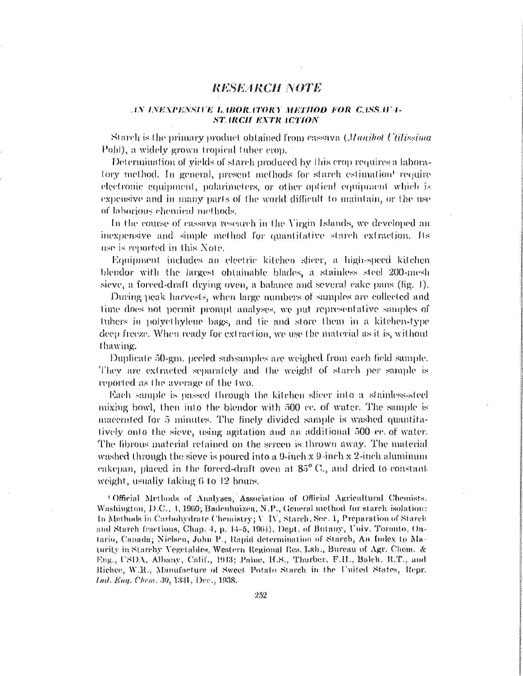## *RESEARCH NOTE*

## i,\ *i.\/<;xi>j;!\siru L i no a no* RV *METHOD FOR c.tss \v*i-*ST. IRCH EXTR ICTION*

Si nidi is (he primary product obtained iron) cassava *(Manihot ('tih'xxiuta*  l > oJii), a widely grown tropical tuber crop.

Determination of yields of starch produced by this crop requires a laboratory method. In general, present methods for starch estimation' require electronic equipment, polarimelcrs, or other optical equipment which is expensive and in many parts of the world difficult to maintain, or the use of laborious chemical niel hods.

In the course oí cassava research in the Virgin Islands, we developed an inexpensive and simple method lor quantitative starch extraction, ffs use is reported in this Note.

Equipment includes an electric kitchen slicer, a high-speed kitchen blcndor with the largest obtainable blades, a stainless steel 200-mesh sieve, a forced-draft drying oven, a balance and several cake pans (fig. I).

During peak harvests, when huge numbers oí samples are collected and lime does not permit prompt analyses, we put representative samples of tuhers in polyethylene bags, and tie and store them in a kitchen-type deep freeze. When ready for extraction, we use the material as it is, witboul thawing.

Duplicate óO-gm. peeled subsanmles are weighed from each field sample. They are extracted separately and the weight of starch per sample is reported as the average of the two.

Each sample is passed through the kitchen slicer into a stainless-steel mixing bowl, then into the blendor with  $500$  cc. of water. The sample is macerated for 5 minutes. The finely divided sample is washed quantitatively onto the sieve, using agitation and an additional 500 cc. of water. The fibrous material retained on the screen is thrown away. The material washed through the sieve is poured into a 9-inch x 9-inch x 2-inch aluminum eakepan, placed in the forced-draft oven at 85° C., and dried to constantweight, usually taking 6 to 12 hours.

'Official Methods of Analyses, Assoeialion of Official Agricultural Chemists. Washington,  $D.C., 1,1960;$  Badeuhuizen, N.P., General method for starch isolation: In Methods in Carbohydrate Chemistry; V IV, Starch, Sec. 1, Preparation of Starch and Starch fractions, Chap. 4, p. 14-5, 1964), Dept. of Botany, Univ. Toronto, On-1ario, Canada; Nielsen, John P., Rapid determination of Starch, An Index to Maturity in Starchy Vegetables, Western Regional Res. Lab., Bureau of Agr. Chem. & Eng., USDA, Albany, Calif., 1943; Paine, H.S., Thurber, F.H., Balch, R.T., and Richee, W.R., Manufacture of Sweet Potato Starch in the United States, Repr. *lud. Eng. Chem. 30,* 1331, Dec., 1938.